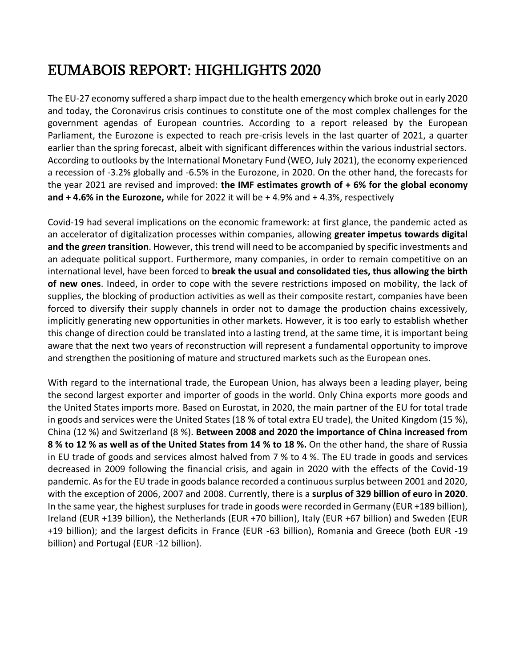# EUMABOIS REPORT: HIGHLIGHTS 2020

The EU-27 economy suffered a sharp impact due to the health emergency which broke out in early 2020 and today, the Coronavirus crisis continues to constitute one of the most complex challenges for the government agendas of European countries. According to a report released by the European Parliament, the Eurozone is expected to reach pre-crisis levels in the last quarter of 2021, a quarter earlier than the spring forecast, albeit with significant differences within the various industrial sectors. According to outlooks by the International Monetary Fund (WEO, July 2021), the economy experienced a recession of -3.2% globally and -6.5% in the Eurozone, in 2020. On the other hand, the forecasts for the year 2021 are revised and improved: **the IMF estimates growth of + 6% for the global economy and + 4.6% in the Eurozone,** while for 2022 it will be + 4.9% and + 4.3%, respectively

Covid-19 had several implications on the economic framework: at first glance, the pandemic acted as an accelerator of digitalization processes within companies, allowing **greater impetus towards digital and the** *green* **transition**. However, this trend will need to be accompanied by specific investments and an adequate political support. Furthermore, many companies, in order to remain competitive on an international level, have been forced to **break the usual and consolidated ties, thus allowing the birth of new ones**. Indeed, in order to cope with the severe restrictions imposed on mobility, the lack of supplies, the blocking of production activities as well as their composite restart, companies have been forced to diversify their supply channels in order not to damage the production chains excessively, implicitly generating new opportunities in other markets. However, it is too early to establish whether this change of direction could be translated into a lasting trend, at the same time, it is important being aware that the next two years of reconstruction will represent a fundamental opportunity to improve and strengthen the positioning of mature and structured markets such as the European ones.

With regard to the international trade, the European Union, has always been a leading player, being the second largest exporter and importer of goods in the world. Only China exports more goods and the United States imports more. Based on Eurostat, in 2020, the main partner of the EU for total trade in goods and services were the United States (18 % of total extra EU trade), the United Kingdom (15 %), China (12 %) and Switzerland (8 %). **Between 2008 and 2020 the importance of China increased from 8 % to 12 % as well as of the United States from 14 % to 18 %.** On the other hand, the share of Russia in EU trade of goods and services almost halved from 7 % to 4 %. The EU trade in goods and services decreased in 2009 following the financial crisis, and again in 2020 with the effects of the Covid-19 pandemic. As for the EU trade in goods balance recorded a continuous surplus between 2001 and 2020, with the exception of 2006, 2007 and 2008. Currently, there is a **surplus of 329 billion of euro in 2020**. In the same year, the highest surpluses for trade in goods were recorded in Germany (EUR +189 billion), Ireland (EUR +139 billion), the Netherlands (EUR +70 billion), Italy (EUR +67 billion) and Sweden (EUR +19 billion); and the largest deficits in France (EUR -63 billion), Romania and Greece (both EUR -19 billion) and Portugal (EUR -12 billion).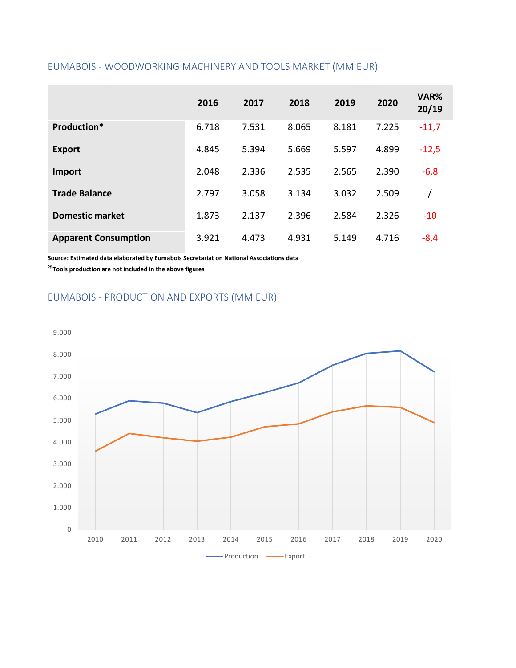#### EUMABOIS - WOODWORKING MACHINERY AND TOOLS MARKET (MM EUR)

|                             | 2016  | 2017  | 2018  | 2019  | 2020  | VAR%<br>20/19 |
|-----------------------------|-------|-------|-------|-------|-------|---------------|
| Production*                 | 6.718 | 7.531 | 8.065 | 8.181 | 7.225 | $-11,7$       |
| <b>Export</b>               | 4.845 | 5.394 | 5.669 | 5.597 | 4.899 | $-12,5$       |
| Import                      | 2.048 | 2.336 | 2.535 | 2.565 | 2.390 | $-6,8$        |
| <b>Trade Balance</b>        | 2.797 | 3.058 | 3.134 | 3.032 | 2.509 |               |
| <b>Domestic market</b>      | 1.873 | 2.137 | 2.396 | 2.584 | 2.326 | $-10$         |
| <b>Apparent Consumption</b> | 3.921 | 4.473 | 4.931 | 5.149 | 4.716 | $-8,4$        |

**Source: Estimated data elaborated by Eumabois Secretariat on National Associations data**

\***Tools production are not included in the above figures**

### EUMABOIS - PRODUCTION AND EXPORTS (MM EUR)

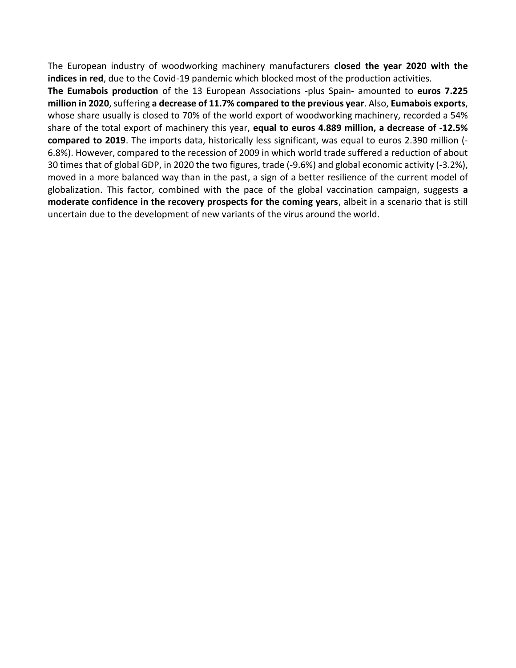The European industry of woodworking machinery manufacturers **closed the year 2020 with the indices in red**, due to the Covid-19 pandemic which blocked most of the production activities.

**The Eumabois production** of the 13 European Associations -plus Spain- amounted to **euros 7.225 million in 2020**, suffering **a decrease of 11.7% compared to the previous year**. Also, **Eumabois exports**, whose share usually is closed to 70% of the world export of woodworking machinery, recorded a 54% share of the total export of machinery this year, **equal to euros 4.889 million, a decrease of -12.5% compared to 2019**. The imports data, historically less significant, was equal to euros 2.390 million (- 6.8%). However, compared to the recession of 2009 in which world trade suffered a reduction of about 30 times that of global GDP, in 2020 the two figures, trade (-9.6%) and global economic activity (-3.2%), moved in a more balanced way than in the past, a sign of a better resilience of the current model of globalization. This factor, combined with the pace of the global vaccination campaign, suggests **a moderate confidence in the recovery prospects for the coming years**, albeit in a scenario that is still uncertain due to the development of new variants of the virus around the world.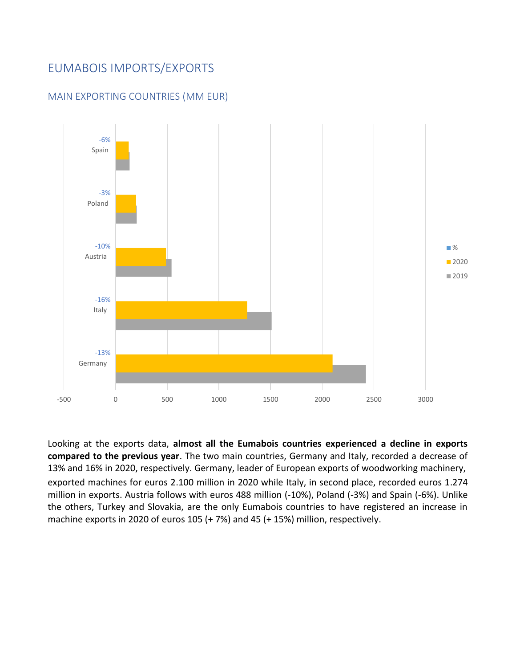### EUMABOIS IMPORTS/EXPORTS



#### MAIN EXPORTING COUNTRIES (MM EUR)

Looking at the exports data, **almost all the Eumabois countries experienced a decline in exports compared to the previous year**. The two main countries, Germany and Italy, recorded a decrease of 13% and 16% in 2020, respectively. Germany, leader of European exports of woodworking machinery, exported machines for euros 2.100 million in 2020 while Italy, in second place, recorded euros 1.274 million in exports. Austria follows with euros 488 million (-10%), Poland (-3%) and Spain (-6%). Unlike the others, Turkey and Slovakia, are the only Eumabois countries to have registered an increase in machine exports in 2020 of euros 105 (+ 7%) and 45 (+ 15%) million, respectively.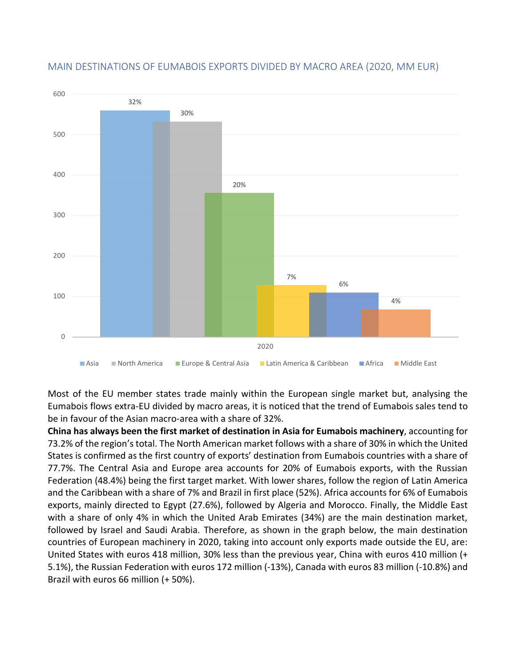

#### MAIN DESTINATIONS OF EUMABOIS EXPORTS DIVIDED BY MACRO AREA (2020, MM EUR)

Most of the EU member states trade mainly within the European single market but, analysing the Eumabois flows extra-EU divided by macro areas, it is noticed that the trend of Eumabois sales tend to be in favour of the Asian macro-area with a share of 32%.

**China has always been the first market of destination in Asia for Eumabois machinery**, accounting for 73.2% of the region's total. The North American market follows with a share of 30% in which the United States is confirmed as the first country of exports' destination from Eumabois countries with a share of 77.7%. The Central Asia and Europe area accounts for 20% of Eumabois exports, with the Russian Federation (48.4%) being the first target market. With lower shares, follow the region of Latin America and the Caribbean with a share of 7% and Brazil in first place (52%). Africa accounts for 6% of Eumabois exports, mainly directed to Egypt (27.6%), followed by Algeria and Morocco. Finally, the Middle East with a share of only 4% in which the United Arab Emirates (34%) are the main destination market, followed by Israel and Saudi Arabia. Therefore, as shown in the graph below, the main destination countries of European machinery in 2020, taking into account only exports made outside the EU, are: United States with euros 418 million, 30% less than the previous year, China with euros 410 million (+ 5.1%), the Russian Federation with euros 172 million (-13%), Canada with euros 83 million (-10.8%) and Brazil with euros 66 million (+ 50%).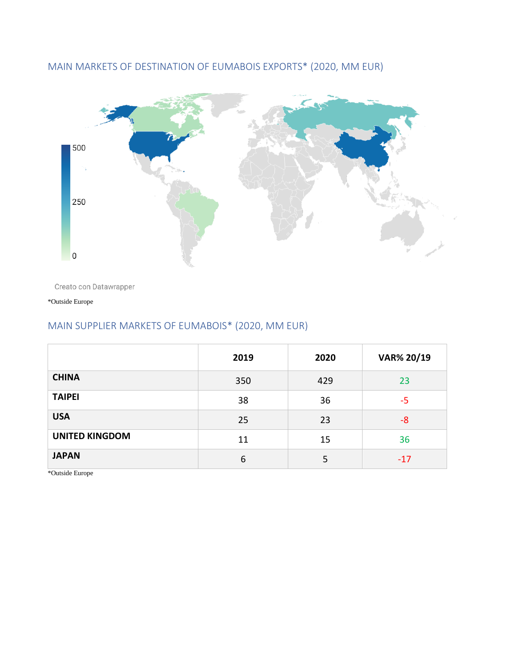

### MAIN MARKETS OF DESTINATION OF EUMABOIS EXPORTS\* (2020, MM EUR)

Creato con Datawrapper

\*Outside Europe

# MAIN SUPPLIER MARKETS OF EUMABOIS\* (2020, MM EUR)

|                       | 2019 | 2020 | VAR% 20/19 |
|-----------------------|------|------|------------|
| <b>CHINA</b>          | 350  | 429  | 23         |
| <b>TAIPEI</b>         | 38   | 36   | -5         |
| <b>USA</b>            | 25   | 23   | -8         |
| <b>UNITED KINGDOM</b> | 11   | 15   | 36         |
| <b>JAPAN</b>          | 6    | 5    | $-17$      |

\*Outside Europe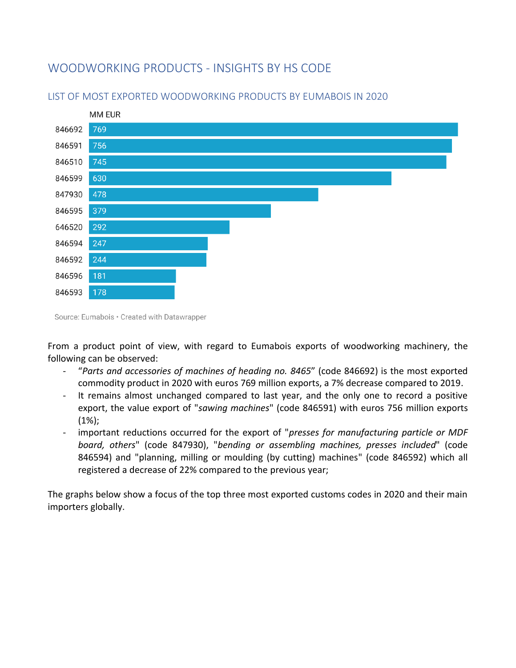# WOODWORKING PRODUCTS - INSIGHTS BY HS CODE



#### LIST OF MOST EXPORTED WOODWORKING PRODUCTS BY EUMABOIS IN 2020

From a product point of view, with regard to Eumabois exports of woodworking machinery, the following can be observed:

- "*Parts and accessories of machines of heading no. 8465*" (code 846692) is the most exported commodity product in 2020 with euros 769 million exports, a 7% decrease compared to 2019.
- It remains almost unchanged compared to last year, and the only one to record a positive export, the value export of "*sawing machines*" (code 846591) with euros 756 million exports  $(1\%)$ ;
- important reductions occurred for the export of "*presses for manufacturing particle or MDF board, others*" (code 847930), "*bending or assembling machines, presses included*" (code 846594) and "planning, milling or moulding (by cutting) machines" (code 846592) which all registered a decrease of 22% compared to the previous year;

The graphs below show a focus of the top three most exported customs codes in 2020 and their main importers globally.

Source: Eumabois • Created with Datawrapper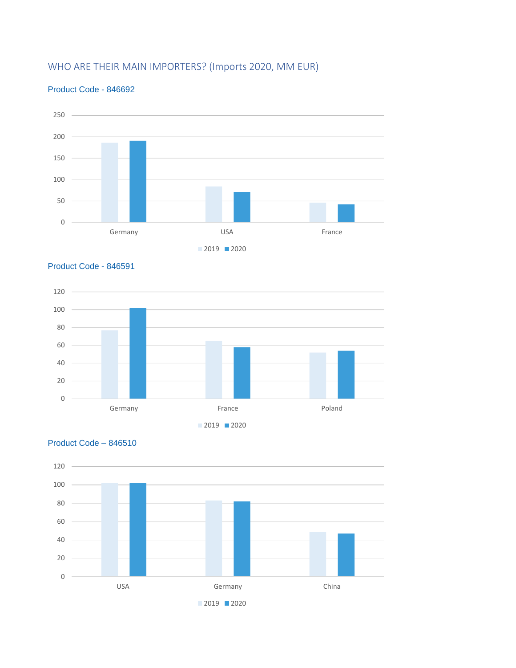## WHO ARE THEIR MAIN IMPORTERS? (Imports 2020, MM EUR)



#### Product Code - 846692



Product Code – 846510